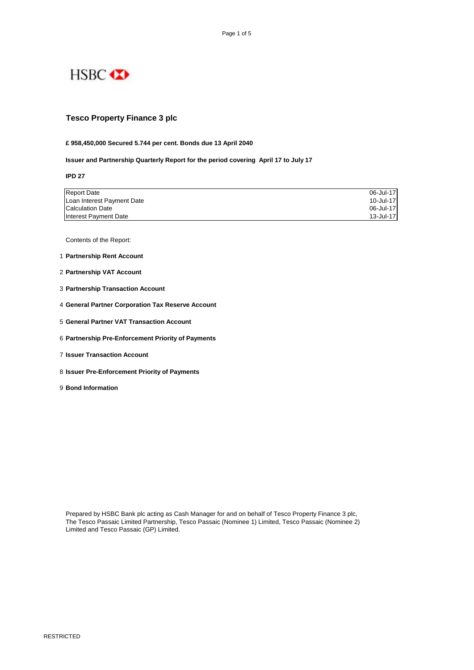

### **Tesco Property Finance 3 plc**

#### **£ 958,450,000 Secured 5.744 per cent. Bonds due 13 April 2040**

**Issuer and Partnership Quarterly Report for the period covering April 17 to July 17**

**IPD 27**

| <b>Report Date</b>         | 06-Jul-17 |
|----------------------------|-----------|
| Loan Interest Payment Date | 10-Jul-17 |
| <b>Calculation Date</b>    | 06-Jul-17 |
| Interest Payment Date      | 13-Jul-17 |

Contents of the Report:

- 1 **Partnership Rent Account**
- 2 **Partnership VAT Account**
- 3 **Partnership Transaction Account**
- 4 **General Partner Corporation Tax Reserve Account**
- 5 **General Partner VAT Transaction Account**
- 6 **Partnership Pre-Enforcement Priority of Payments**
- 7 **Issuer Transaction Account**
- 8 **Issuer Pre-Enforcement Priority of Payments**
- 9 **Bond Information**

Prepared by HSBC Bank plc acting as Cash Manager for and on behalf of Tesco Property Finance 3 plc, The Tesco Passaic Limited Partnership, Tesco Passaic (Nominee 1) Limited, Tesco Passaic (Nominee 2) Limited and Tesco Passaic (GP) Limited.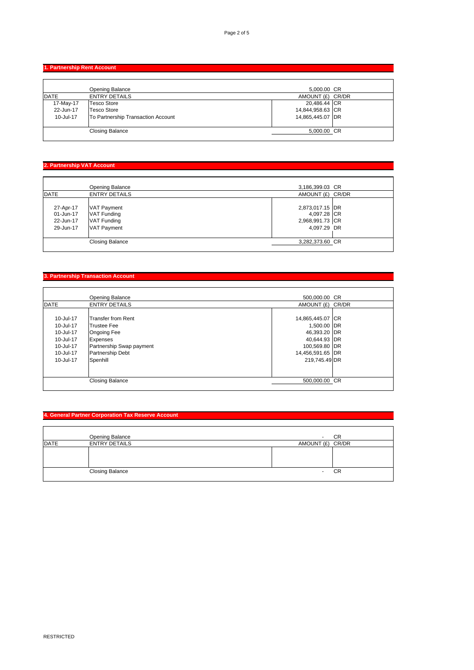**1. Partnership Rent Account** 

|             | Opening Balance                    | 5,000.00 CR      |  |
|-------------|------------------------------------|------------------|--|
| <b>DATE</b> | <b>ENTRY DETAILS</b>               | AMOUNT (£) CR/DR |  |
| 17-May-17   | <b>Tesco Store</b>                 | 20,486.44 CR     |  |
| 22-Jun-17   | Tesco Store                        | 14,844,958.63 CR |  |
| 10-Jul-17   | To Partnership Transaction Account | 14,865,445.07 DR |  |
|             |                                    |                  |  |
|             | <b>Closing Balance</b>             | 5,000.00 CR      |  |
|             |                                    |                  |  |

# **2. Partnership VAT Account**

|             | Opening Balance        | 3,186,399.03 CR  |  |
|-------------|------------------------|------------------|--|
| <b>DATE</b> | <b>ENTRY DETAILS</b>   | AMOUNT (£) CR/DR |  |
|             |                        |                  |  |
| 27-Apr-17   | <b>VAT Payment</b>     | 2,873,017.15 DR  |  |
| 01-Jun-17   | <b>VAT Funding</b>     | 4,097.28 CR      |  |
| 22-Jun-17   | <b>VAT Funding</b>     | 2,968,991.73 CR  |  |
| 29-Jun-17   | <b>VAT Payment</b>     | 4,097.29 DR      |  |
|             |                        |                  |  |
|             | <b>Closing Balance</b> | 3,282,373.60 CR  |  |
|             |                        |                  |  |

#### **3. Partnership Transaction Account**

|             | <b>Opening Balance</b>   | 500,000.00 CR    |  |
|-------------|--------------------------|------------------|--|
| <b>DATE</b> | <b>ENTRY DETAILS</b>     | AMOUNT (£) CR/DR |  |
|             |                          |                  |  |
| 10-Jul-17   | Transfer from Rent       | 14,865,445.07 CR |  |
| 10-Jul-17   | <b>Trustee Fee</b>       | 1,500.00 DR      |  |
| 10-Jul-17   | <b>Ongoing Fee</b>       | 46,393.20 DR     |  |
| 10-Jul-17   | <b>Expenses</b>          | 40,644.93 DR     |  |
| 10-Jul-17   | Partnership Swap payment | 100,569.80 DR    |  |
| 10-Jul-17   | <b>Partnership Debt</b>  | 14,456,591.65 DR |  |
| 10-Jul-17   | Spenhill                 | 219,745.49 DR    |  |
|             |                          |                  |  |
|             |                          |                  |  |
|             | <b>Closing Balance</b>   | 500,000.00 CR    |  |
|             |                          |                  |  |

# **4. General Partner Corporation Tax Reserve Account**

|             | Opening Balance        |                  | CR |
|-------------|------------------------|------------------|----|
| <b>DATE</b> | <b>ENTRY DETAILS</b>   | AMOUNT (£) CR/DR |    |
|             |                        |                  |    |
|             | <b>Closing Balance</b> | ۰                | CR |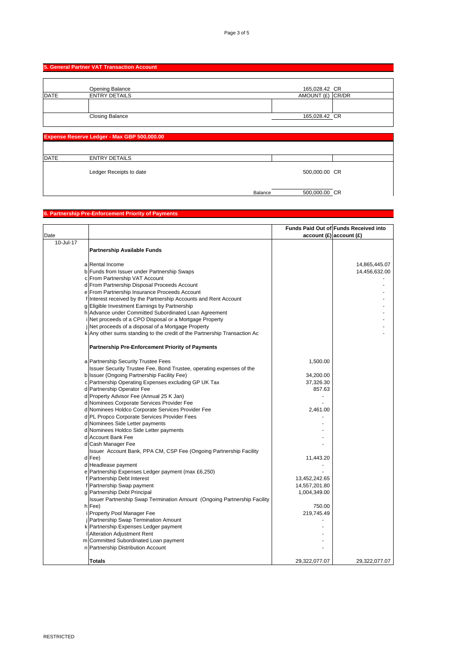|             | 5. General Partner VAT Transaction Account  |                                   |  |
|-------------|---------------------------------------------|-----------------------------------|--|
|             |                                             |                                   |  |
| <b>DATE</b> | Opening Balance<br><b>ENTRY DETAILS</b>     | 165,028.42 CR<br>AMOUNT (£) CR/DR |  |
|             |                                             |                                   |  |
|             | <b>Closing Balance</b>                      | 165,028.42 CR                     |  |
|             |                                             |                                   |  |
|             | Expense Reserve Ledger - Max GBP 500,000.00 |                                   |  |
|             |                                             |                                   |  |
| <b>DATE</b> | <b>ENTRY DETAILS</b>                        |                                   |  |

Ledger Receipts to date 500,000.00 CR

Balance 500,000.00 CR

**6. Partnership Pre-Enforcement Priority of Payments**

|                   |                                                                           |               | Funds Paid Out of Funds Received into |
|-------------------|---------------------------------------------------------------------------|---------------|---------------------------------------|
| Date<br>10-Jul-17 |                                                                           |               | account(E) account(E)                 |
|                   |                                                                           |               |                                       |
|                   | <b>Partnership Available Funds</b>                                        |               |                                       |
|                   | a Rental Income                                                           |               | 14,865,445.07                         |
|                   | b Funds from Issuer under Partnership Swaps                               |               | 14,456,632.00                         |
|                   | c From Partnership VAT Account                                            |               |                                       |
|                   | d From Partnership Disposal Proceeds Account                              |               |                                       |
|                   | e From Partnership Insurance Proceeds Account                             |               |                                       |
|                   | f Interest received by the Partnership Accounts and Rent Account          |               |                                       |
|                   | g Eligible Investment Earnings by Partnership                             |               |                                       |
|                   | h Advance under Committed Subordinated Loan Agreement                     |               |                                       |
|                   | i Net proceeds of a CPO Disposal or a Mortgage Property                   |               |                                       |
|                   | Net proceeds of a disposal of a Mortgage Property                         |               |                                       |
|                   | k Any other sums standing to the credit of the Partnership Transaction Ac |               |                                       |
|                   |                                                                           |               |                                       |
|                   | <b>Partnership Pre-Enforcement Priority of Payments</b>                   |               |                                       |
|                   |                                                                           |               |                                       |
|                   | a Partnership Security Trustee Fees                                       | 1,500.00      |                                       |
|                   | Issuer Security Trustee Fee, Bond Trustee, operating expenses of the      |               |                                       |
|                   | b Issuer (Ongoing Partnership Facility Fee)                               | 34,200.00     |                                       |
|                   | c Partnership Operating Expenses excluding GP UK Tax                      | 37,326.30     |                                       |
|                   | d Partnership Operator Fee                                                | 857.63        |                                       |
|                   | d Property Advisor Fee (Annual 25 K Jan)                                  |               |                                       |
|                   | d Nominees Corporate Services Provider Fee                                |               |                                       |
|                   | d Nominees Holdco Corporate Services Provider Fee                         | 2,461.00      |                                       |
|                   | d PL Propco Corporate Services Provider Fees                              |               |                                       |
|                   | d Nominees Side Letter payments                                           |               |                                       |
|                   | d Nominees Holdco Side Letter payments                                    |               |                                       |
|                   | d Account Bank Fee                                                        |               |                                       |
|                   | d Cash Manager Fee                                                        |               |                                       |
|                   | Issuer Account Bank, PPA CM, CSP Fee (Ongoing Partnership Facility        |               |                                       |
|                   | d Fee)                                                                    | 11,443.20     |                                       |
|                   | d Headlease payment                                                       |               |                                       |
|                   | e Partnership Expenses Ledger payment (max £6,250)                        |               |                                       |
|                   | f Partnership Debt Interest                                               | 13,452,242.65 |                                       |
|                   | f Partnership Swap payment                                                | 14,557,201.80 |                                       |
|                   | g Partnership Debt Principal                                              | 1,004,349.00  |                                       |
|                   | Issuer Partnership Swap Termination Amount (Ongoing Partnership Facility  |               |                                       |
|                   | h Fee)                                                                    | 750.00        |                                       |
|                   | i Property Pool Manager Fee                                               | 219,745.49    |                                       |
|                   | j Partnership Swap Termination Amount                                     |               |                                       |
|                   | k Partnership Expenses Ledger payment                                     |               |                                       |
|                   | Alteration Adjustment Rent                                                |               |                                       |
|                   | m Committed Subordinated Loan payment                                     |               |                                       |
|                   | n Partnership Distribution Account                                        |               |                                       |
|                   | <b>Totals</b>                                                             | 29,322,077.07 | 29,322,077.07                         |
|                   |                                                                           |               |                                       |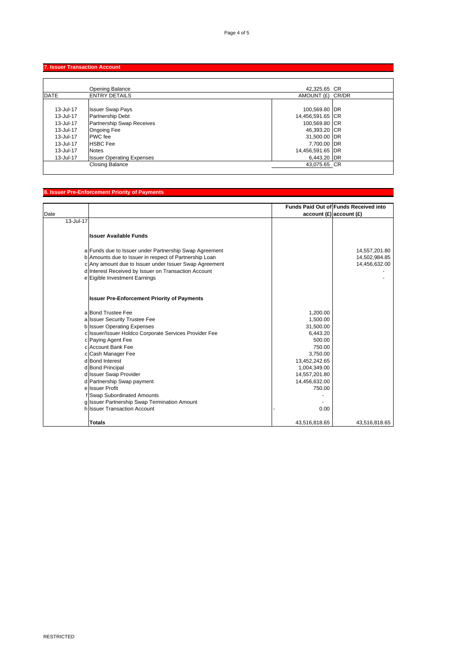## **7. Issuer Transaction Account**

|             | Opening Balance                  | 42,325.65 CR     |  |
|-------------|----------------------------------|------------------|--|
| <b>DATE</b> | <b>ENTRY DETAILS</b>             | AMOUNT (£) CR/DR |  |
| 13-Jul-17   | <b>Issuer Swap Pays</b>          | 100,569.80 DR    |  |
| 13-Jul-17   | <b>Partnership Debt</b>          | 14,456,591.65 CR |  |
| 13-Jul-17   | Partnership Swap Receives        | 100,569.80 CR    |  |
| 13-Jul-17   | <b>Ongoing Fee</b>               | 46,393.20 CR     |  |
| 13-Jul-17   | <b>PWC</b> fee                   | 31,500.00 DR     |  |
| 13-Jul-17   | <b>HSBC</b> Fee                  | 7,700.00 DR      |  |
| 13-Jul-17   | <b>Notes</b>                     | 14,456,591.65 DR |  |
| 13-Jul-17   | <b>Issuer Operating Expenses</b> | 6,443.20 DR      |  |
|             | <b>Closing Balance</b>           | 43,075.65 CR     |  |

# **8. Issuer Pre-Enforcement Priority of Payments**

| Date      |                                                                                                                  |                                | Funds Paid Out of Funds Received into<br>account(E) account(E) |
|-----------|------------------------------------------------------------------------------------------------------------------|--------------------------------|----------------------------------------------------------------|
| 13-Jul-17 |                                                                                                                  |                                |                                                                |
|           | <b>Issuer Available Funds</b>                                                                                    |                                |                                                                |
|           | a Funds due to Issuer under Partnership Swap Agreement                                                           |                                | 14,557,201.80                                                  |
|           | b Amounts due to Issuer in respect of Partnership Loan<br>c Any amount due to Issuer under Issuer Swap Agreement |                                | 14,502,984.85<br>14,456,632.00                                 |
|           | d Interest Received by Issuer on Transaction Account                                                             |                                |                                                                |
|           | e Eigible Investment Earnings                                                                                    |                                |                                                                |
|           | <b>Issuer Pre-Enforcement Priority of Payments</b>                                                               |                                |                                                                |
|           | a Bond Trustee Fee                                                                                               | 1,200.00                       |                                                                |
|           | a Issuer Security Trustee Fee                                                                                    | 1,500.00                       |                                                                |
|           | b Issuer Operating Expenses                                                                                      | 31,500.00                      |                                                                |
|           | c Issuer/Issuer Holdco Corporate Services Provider Fee                                                           | 6,443.20                       |                                                                |
|           | c Paying Agent Fee                                                                                               | 500.00                         |                                                                |
|           | c Account Bank Fee                                                                                               | 750.00                         |                                                                |
|           | c Cash Manager Fee                                                                                               | 3,750.00                       |                                                                |
|           | d Bond Interest                                                                                                  | 13,452,242.65                  |                                                                |
|           | d Bond Principal                                                                                                 | 1,004,349.00                   |                                                                |
|           | d Issuer Swap Provider                                                                                           | 14,557,201.80<br>14,456,632.00 |                                                                |
|           | d Partnership Swap payment<br>e Issuer Profit                                                                    | 750.00                         |                                                                |
|           | f Swap Subordinated Amounts                                                                                      |                                |                                                                |
|           | g Issuer Partnership Swap Termination Amount                                                                     |                                |                                                                |
|           | h Issuer Transaction Account                                                                                     | 0.00                           |                                                                |
|           |                                                                                                                  |                                |                                                                |
|           | <b>Totals</b>                                                                                                    | 43,516,818.65                  | 43,516,818.65                                                  |